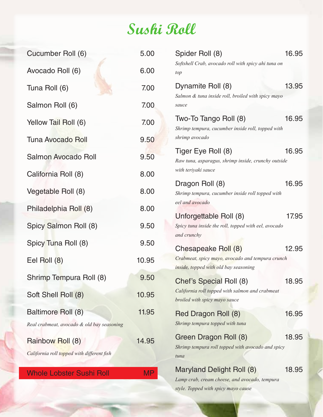## **Sushi Roll**

| Cucumber Roll (6)                                              | 5.00      | 16.95<br>Spider Roll (8)                                                                    |       |
|----------------------------------------------------------------|-----------|---------------------------------------------------------------------------------------------|-------|
| Avocado Roll (6)                                               | 6.00      | Softshell Crab, avocado roll with spicy ahi tuna on<br>top                                  |       |
| Tuna Roll (6)                                                  | 7.00      | 13.95<br>Dynamite Roll (8)                                                                  |       |
| Salmon Roll (6)                                                | 7.00      | Salmon & tuna inside roll, broiled with spicy mayo<br>sauce                                 |       |
| Yellow Tail Roll (6)                                           | 7.00      | Two-To Tango Roll (8)<br>16.95                                                              |       |
| <b>Tuna Avocado Roll</b>                                       | 9.50      | Shrimp tempura, cucumber inside roll, topped with<br>shrimp avocado                         |       |
| <b>Salmon Avocado Roll</b>                                     | 9.50      | 16.95<br>Tiger Eye Roll (8)<br>Raw tuna, asparagus, shrimp inside, crunchy outside          |       |
| California Roll (8)                                            | 8.00      | with teriyaki sauce                                                                         |       |
| Vegetable Roll (8)                                             | 8.00      | 16.95<br>Dragon Roll (8)<br>Shrimp tempura, cucumber inside roll topped with                |       |
| Philadelphia Roll (8)                                          | 8.00      | eel and avocado                                                                             |       |
| Spicy Salmon Roll (8)                                          | 9.50      | Unforgettable Roll (8)<br>Spicy tuna inside the roll, topped with eel, avocado              | 17.95 |
| Spicy Tuna Roll (8)                                            | 9.50      | and crunchy                                                                                 |       |
|                                                                |           | Chesapeake Roll (8)<br>12.95                                                                |       |
| Eel Roll (8)                                                   | 10.95     | Crabmeat, spicy mayo, avocado and tempura crunch<br>inside, topped with old bay seasoning   |       |
| Shrimp Tempura Roll (8)                                        | 9.50      | Chef's Special Roll (8)<br>18.95                                                            |       |
| Soft Shell Roll (8)                                            | 10.95     | California roll topped with salmon and crabmeat<br>broiled with spicy mayo sauce            |       |
| Baltimore Roll (8)                                             | 11.95     | 16.95<br>Red Dragon Roll (8)                                                                |       |
| Real crabmeat, avocado & old bay seasoning                     |           | Shrimp tempura topped with tuna                                                             |       |
| Rainbow Roll (8)<br>California roll topped with different fish | 14.95     | 18.95<br>Green Dragon Roll (8)<br>Shrimp tempura roll topped with avocado and spicy<br>tuna |       |
|                                                                |           | 18.95                                                                                       |       |
| <b>Whole Lobster Sushi Roll</b>                                | <b>MP</b> | Maryland Delight Roll (8)<br>Lamp crab, cream cheese, and avocado, tempura                  |       |

*style. Topped with spicy mayo cause*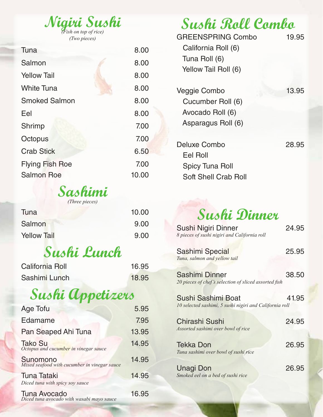| Nigiri Sushi |  |  |
|--------------|--|--|
|              |  |  |
|              |  |  |

*(Two pieces)*

| Tuna                   | 8.00  |
|------------------------|-------|
| Salmon                 | 8.00  |
| <b>Yellow Tail</b>     | 8.00  |
| <b>White Tuna</b>      | 8.00  |
| <b>Smoked Salmon</b>   | 8.00  |
| Eel                    | 8.00  |
| Shrimp                 | 7.00  |
| Octopus                | 7.00  |
| <b>Crab Stick</b>      | 6.50  |
| <b>Flying Fish Roe</b> | 7.00  |
| <b>Salmon Roe</b>      | 10.00 |

### **Sashimi**

*(Three pieces)*

| Tuna               | 10.00 |
|--------------------|-------|
| Salmon             | 9.00  |
| <b>Yellow Tail</b> | 9.00  |

## **Sushi Lunch**

| California Roll | 16.95 |
|-----------------|-------|
| Sashimi Lunch   | 18.95 |

## **Sushi Appetizers**

| <b>Age Tofu</b>                                                                                     | 5.95  |
|-----------------------------------------------------------------------------------------------------|-------|
| Edamame                                                                                             | 7.95  |
| Pan Seaped Ahi Tuna                                                                                 | 13.95 |
| <b>Tako Su</b><br>Octopus and cucumber in vinegar sauce                                             | 14.95 |
| Sunomono<br>Mixed seafood with cucumber in vinegar sauce                                            | 14.95 |
| <b>Tuna Tataki</b>                                                                                  | 14.95 |
| Diced tuna with spicy soy sauce<br><b>Tuna Avocado</b><br>Diced tuna avocado with wasabi mayo sauce | 16.95 |

**Sushi Roll Combo**

| <b>GREENSPRING Combo</b><br>California Roll (6)<br>Tuna Roll (6)<br>Yellow Tail Roll (6) | 19.95 |
|------------------------------------------------------------------------------------------|-------|
| Veggie Combo<br>Cucumber Roll (6)<br>Avocado Roll (6)<br>Asparagus Roll (6)              | 13.95 |
| Deluxe Combo<br>Eel Roll<br><b>Spicy Tuna Roll</b><br><b>Soft Shell Crab Roll</b>        | 28.95 |

### **Sushi Dinner**

| Sushi Nigiri Dinner<br>8 pieces of sushi nigiri and California roll           | 24.95 |
|-------------------------------------------------------------------------------|-------|
| <b>Sashimi Special</b><br>Tuna, salmon and yellow tail                        | 25.95 |
| Sashimi Dinner<br>20 pieces of chef's selection of sliced assorted fish       | 38.50 |
| Sushi Sashimi Boat<br>10 selected sashimi, 5 sushi nigiri and California roll | 41.95 |
| <b>Chirashi Sushi</b><br>Assorted sashimi over bowl of rice                   | 24.95 |
| <b>Tekka Don</b><br>Tuna sashimi over bowl of sushi rice                      | 26.95 |
| Unagi Don<br>Smoked eel on a bed of sushi rice                                | 26.95 |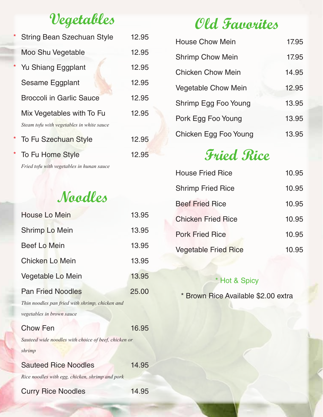### **Vegetables**

|         | <b>String Bean Szechuan Style</b>         | 12.95 |
|---------|-------------------------------------------|-------|
|         | Moo Shu Vegetable                         | 12.95 |
|         | Yu Shiang Eggplant                        | 12.95 |
|         | Sesame Eggplant                           | 12.95 |
|         | <b>Broccoli in Garlic Sauce</b>           | 12.95 |
|         | Mix Vegetables with To Fu                 | 12.95 |
|         | Steam tofu with vegetables in white sauce |       |
| $\star$ | <b>To Fu Szechuan Style</b>               | 12.95 |
|         | To Fu Home Style                          | 12.95 |

*Fried tofu with vegetables in hunan sauce*

### **Noodles**

| <b>House Lo Mein</b>                                 | 13.95 |
|------------------------------------------------------|-------|
| <b>Shrimp Lo Mein</b>                                | 13.95 |
| <b>Beef Lo Mein</b>                                  | 13.95 |
| <b>Chicken Lo Mein</b>                               | 13.95 |
| Vegetable Lo Mein                                    | 13.95 |
| <b>Pan Fried Noodles</b>                             | 25.00 |
| Thin noodles pan fried with shrimp, chicken and      |       |
| vegetables in brown sauce                            |       |
| <b>Chow Fen</b>                                      | 16.95 |
| Sauteed wide noodles with choice of beef, chicken or |       |
| shrimp                                               |       |
| <b>Sauteed Rice Noodles</b>                          | 14.95 |
| Rice noodles with egg, chicken, shrimp and pork      |       |
| <b>Curry Rice Noodles</b>                            | 14.95 |

## **Old Favorites**

| <b>House Chow Mein</b>     | 17.95 |
|----------------------------|-------|
| <b>Shrimp Chow Mein</b>    | 17.95 |
| Chicken Chow Mein          | 14.95 |
| <b>Vegetable Chow Mein</b> | 12.95 |
| Shrimp Egg Foo Young       | 13.95 |
| Pork Egg Foo Young         | 13.95 |
| Chicken Egg Foo Young      | 13.95 |

## **Fried Rice**

| <b>House Fried Rice</b>     | 10.95 |
|-----------------------------|-------|
| <b>Shrimp Fried Rice</b>    | 10.95 |
| <b>Beef Fried Rice</b>      | 10.95 |
| <b>Chicken Fried Rice</b>   | 10.95 |
| <b>Pork Fried Rice</b>      | 10.95 |
| <b>Vegetable Fried Rice</b> | 10.95 |

#### \* Hot & Spicy

\* Brown Rice Available \$2.00 extra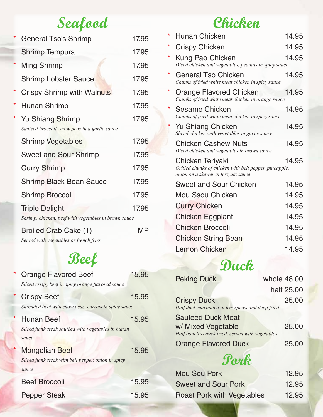# **Seafood**

|         | <b>General Tso's Shrimp</b>                                                   | 17.95 |
|---------|-------------------------------------------------------------------------------|-------|
|         | <b>Shrimp Tempura</b>                                                         | 17.95 |
| $\star$ | <b>Ming Shrimp</b>                                                            | 17.95 |
|         | <b>Shrimp Lobster Sauce</b>                                                   | 17.95 |
| $\star$ | <b>Crispy Shrimp with Walnuts</b>                                             | 17.95 |
| *       | Hunan Shrimp                                                                  | 17.95 |
| *       | <b>Yu Shiang Shrimp</b><br>Sauteed broccoli, snow peas in a garlic sauce      | 17.95 |
|         | <b>Shrimp Vegetables</b>                                                      | 17.95 |
|         | <b>Sweet and Sour Shrimp</b>                                                  | 17.95 |
|         | <b>Curry Shrimp</b>                                                           | 17.95 |
|         | <b>Shrimp Black Bean Sauce</b>                                                | 17.95 |
|         | <b>Shrimp Broccoli</b>                                                        | 17.95 |
|         | <b>Triple Delight</b><br>Shrimp, chicken, beef with vegetables in brown sauce | 17.95 |
|         | Broiled Crab Cake (1)                                                         | MP    |

*Served with vegetables or french fries*

## **Beef**

| $\star$ | <b>Orange Flavored Beef</b><br>Sliced crispy beef in spicy orange flavored sauce      | 15.95 |
|---------|---------------------------------------------------------------------------------------|-------|
|         | <b>Crispy Beef</b><br>Shredded beef with snow peas, carrots in spicy sauce            | 15.95 |
| *       | <b>Hunan Beef</b><br>Sliced flank steak sautéed with vegetables in hunan<br>sauce     | 15.95 |
|         | <b>Mongolian Beef</b><br>Sliced flank steak with bell pepper, onion in spicy<br>sauce | 15.95 |
|         | <b>Beef Broccoli</b>                                                                  | 15.95 |
|         | <b>Pepper Steak</b>                                                                   | 15.95 |

## **Chicken**

| *       | <b>Hunan Chicken</b>                                                                                              | 14.95 |
|---------|-------------------------------------------------------------------------------------------------------------------|-------|
| *       | <b>Crispy Chicken</b>                                                                                             | 14.95 |
| *       | Kung Pao Chicken<br>Diced chicken and vegetables, peanuts in spicy sauce                                          | 14.95 |
| $\star$ | <b>General Tso Chicken</b><br>Chunks of fried white meat chicken in spicy sauce                                   | 14.95 |
| *       | <b>Orange Flavored Chicken</b><br>Chunks of fried white meat chicken in orange sauce                              | 14.95 |
| *       | <b>Sesame Chicken</b><br>Chunks of fried white meat chicken in spicy sauce                                        | 14.95 |
|         | Yu Shiang Chicken<br>Sliced chicken with vegetables in garlic sauce                                               | 14.95 |
|         | <b>Chicken Cashew Nuts</b><br>Diced chicken and vegetables in brown sauce                                         | 14.95 |
|         | Chicken Teriyaki<br>Grilled chunks of chicken with bell pepper, pineapple,<br>onion on a skewer in teriyaki sauce | 14.95 |
|         | <b>Sweet and Sour Chicken</b>                                                                                     | 14.95 |
|         | <b>Mou Ssou Chicken</b>                                                                                           | 14.95 |
|         | <b>Curry Chicken</b>                                                                                              | 14.95 |
|         | <b>Chicken Eggplant</b>                                                                                           | 14.95 |
|         | <b>Chicken Broccoli</b>                                                                                           | 14.95 |
|         | <b>Chicken String Bean</b>                                                                                        | 14.95 |
|         | <b>Lemon Chicken</b>                                                                                              | 14.95 |
|         |                                                                                                                   |       |

### **Duck**

|      | <b>Peking Duck</b>                                                                                 | whole 48.00 |            |
|------|----------------------------------------------------------------------------------------------------|-------------|------------|
|      |                                                                                                    |             | half 25,00 |
|      | <b>Crispy Duck</b><br>Half duck marinated in five spices and deep fried                            |             | 25.00      |
|      | <b>Sauteed Duck Meat</b><br>w/ Mixed Vegetable<br>Half boneless duck fried, served with vegetables |             | 25.00      |
|      | <b>Orange Flavored Duck</b>                                                                        |             | 25.00      |
| Pork |                                                                                                    |             |            |
|      | <b>Mou Sou Pork</b>                                                                                |             | 12.95      |
|      | <b>Sweet and Sour Pork</b>                                                                         |             | 12.95      |

Roast Pork with Vegetables 12.95